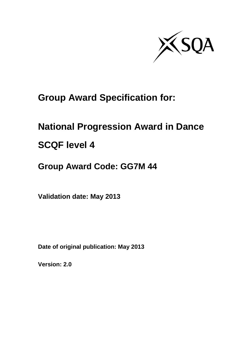

# **Group Award Specification for:**

# **National Progression Award in Dance**

# **SCQF level 4**

# **Group Award Code: GG7M 44**

**Validation date: May 2013**

**Date of original publication: May 2013**

**Version: 2.0**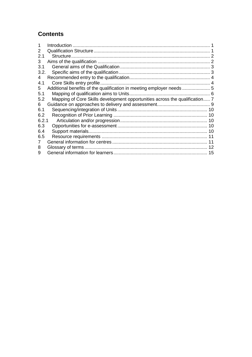## **Contents**

|       | Introduction                                                                |  |
|-------|-----------------------------------------------------------------------------|--|
| 2     |                                                                             |  |
| 2.1   |                                                                             |  |
| 3     |                                                                             |  |
| 3.1   |                                                                             |  |
| 3.2.  |                                                                             |  |
| 4     |                                                                             |  |
| 4.1   |                                                                             |  |
| 5     |                                                                             |  |
| 5.1   |                                                                             |  |
| 5.2   | Mapping of Core Skills development opportunities across the qualification 7 |  |
| 6     |                                                                             |  |
| 6.1   |                                                                             |  |
| 6.2   |                                                                             |  |
| 6.2.1 |                                                                             |  |
| 6.3   |                                                                             |  |
| 6.4   |                                                                             |  |
| 6.5   |                                                                             |  |
| 7     |                                                                             |  |
| 8     |                                                                             |  |
| 9     |                                                                             |  |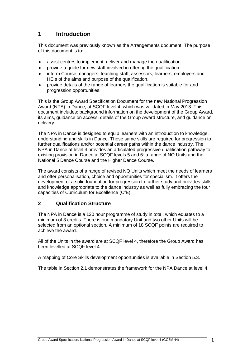## <span id="page-2-0"></span>**1 Introduction**

This document was previously known as the Arrangements document. The purpose of this document is to:

- assist centres to implement, deliver and manage the qualification.
- provide a guide for new staff involved in offering the qualification.
- inform Course managers, teaching staff, assessors, learners, employers and HEIs of the aims and purpose of the qualification.
- provide details of the range of learners the qualification is suitable for and progression opportunities.

This is the Group Award Specification Document for the new National Progression Award (NPA) in Dance, at SCQF level 4, which was validated in May 2013. This document includes: background information on the development of the Group Award, its aims, guidance on access, details of the Group Award structure, and guidance on delivery.

The NPA in Dance is designed to equip learners with an introduction to knowledge, understanding and skills in Dance. These same skills are required for progression to further qualifications and/or potential career paths within the dance industry. The NPA in Dance at level 4 provides an articulated progressive qualification pathway to existing provision in Dance at SCQF levels 5 and 6: a range of NQ Units and the National 5 Dance Course and the Higher Dance Course.

The award consists of a range of revised NQ Units which meet the needs of learners and offer personalisation, choice and opportunities for specialism. It offers the development of a solid foundation for progression to further study and provides skills and knowledge appropriate to the dance industry as well as fully embracing the four capacities of Curriculum for Excellence (CfE).

#### <span id="page-2-1"></span>**2 Qualification Structure**

The NPA in Dance is a 120 hour programme of study in total, which equates to a minimum of 3 credits. There is one mandatory Unit and two other Units will be selected from an optional section. A minimum of 18 SCQF points are required to achieve the award.

All of the Units in the award are at SCQF level 4, therefore the Group Award has been levelled at SCQF level 4.

A mapping of Core Skills development opportunities is available in Section 5.3.

The table in Section 2.1 demonstrates the framework for the NPA Dance at level 4.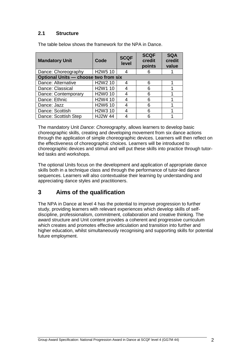### <span id="page-3-0"></span>**2.1 Structure**

| <b>Mandatory Unit</b>                | Code                             | <b>SCQF</b><br>level | <b>SCQF</b><br>credit<br>points | <b>SQA</b><br>credit<br>value |
|--------------------------------------|----------------------------------|----------------------|---------------------------------|-------------------------------|
| Dance: Choreography                  | H <sub>2</sub> W <sub>5</sub> 10 |                      |                                 |                               |
| Optional Units - choose two from six |                                  |                      |                                 |                               |
| Dance: Alternative                   | H <sub>2</sub> W <sub>2</sub> 10 |                      | հ                               |                               |
| Dance: Classical                     | H <sub>2</sub> W <sub>1</sub> 10 |                      | 6                               |                               |
| Dance: Contemporary                  | H <sub>2</sub> W <sub>0</sub> 10 |                      | 6                               |                               |
| Dance: Ethnic                        | H <sub>2</sub> W <sub>4</sub> 10 |                      | 6                               |                               |
| Dance: Jazz                          | H <sub>2</sub> W <sub>6</sub> 10 |                      | հ                               |                               |
| Dance: Scottish                      | H <sub>2</sub> W <sub>3</sub> 10 |                      | հ                               |                               |
| Dance: Scottish Step                 | <b>HJ2W 44</b>                   |                      |                                 |                               |

The table below shows the framework for the NPA in Dance.

The mandatory Unit *Dance: Choreography*, allows learners to develop basic choreographic skills, creating and developing movement from six dance actions through the application of simple choreographic devices. Learners will then reflect on the effectiveness of choreographic choices. Learners will be introduced to choreographic devices and stimuli and will put these skills into practice through tutorled tasks and workshops.

The optional Units focus on the development and application of appropriate dance skills both in a technique class and through the performance of tutor-led dance sequences. Learners will also contextualise their learning by understanding and appreciating dance styles and practitioners.

## <span id="page-3-1"></span>**3 Aims of the qualification**

The NPA in Dance at level 4 has the potential to improve progression to further study, providing learners with relevant experiences which develop skills of selfdiscipline, professionalism, commitment, collaboration and creative thinking. The award structure and Unit content provides a coherent and progressive curriculum which creates and promotes effective articulation and transition into further and higher education, whilst simultaneously recognising and supporting skills for potential future employment.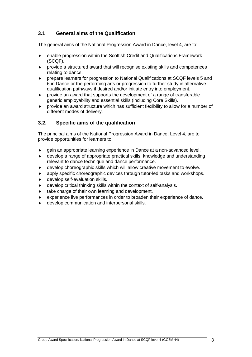### <span id="page-4-0"></span>**3.1 General aims of the Qualification**

The general aims of the National Progression Award in Dance, level 4, are to:

- enable progression within the Scottish Credit and Qualifications Framework (SCQF).
- provide a structured award that will recognise existing skills and competences relating to dance.
- prepare learners for progression to National Qualifications at SCQF levels 5 and 6 in Dance or the performing arts or progression to further study in alternative qualification pathways if desired and/or initiate entry into employment.
- provide an award that supports the development of a range of transferable generic employability and essential skills (including Core Skills).
- provide an award structure which has sufficient flexibility to allow for a number of different modes of delivery.

#### <span id="page-4-1"></span>**3.2. Specific aims of the qualification**

The principal aims of the National Progression Award in Dance, Level 4, are to provide opportunities for learners to:

- gain an appropriate learning experience in Dance at a non-advanced level.
- develop a range of appropriate practical skills, knowledge and understanding relevant to dance technique and dance performance.
- develop choreographic skills which will allow creative movement to evolve.
- apply specific choreographic devices through tutor-led tasks and workshops.
- develop self-evaluation skills.
- develop critical thinking skills within the context of self-analysis.
- take charge of their own learning and development.
- experience live performances in order to broaden their experience of dance.
- develop communication and interpersonal skills.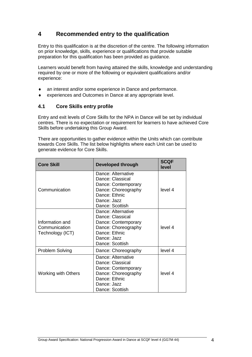## <span id="page-5-0"></span>**4 Recommended entry to the qualification**

Entry to this qualification is at the discretion of the centre. The following information on prior knowledge, skills, experience or qualifications that provide suitable preparation for this qualification has been provided as guidance.

Learners would benefit from having attained the skills, knowledge and understanding required by one or more of the following or equivalent qualifications and/or experience:

- an interest and/or some experience in Dance and performance.
- experiences and Outcomes in Dance at any appropriate level.

#### <span id="page-5-1"></span>**4.1 Core Skills entry profile**

Entry and exit levels of Core Skills for the NPA in Dance will be set by individual centres. There is no expectation or requirement for learners to have achieved Core Skills before undertaking this Group Award.

There are opportunities to gather evidence within the Units which can contribute towards Core Skills. The list below highlights where each Unit can be used to generate evidence for Core Skills.

| <b>Core Skill</b>                                    | Developed through                                                                                                                       | <b>SCQF</b><br>level |
|------------------------------------------------------|-----------------------------------------------------------------------------------------------------------------------------------------|----------------------|
|                                                      | Dance: Alternative<br>Dance: Classical<br>Dance: Contemporary                                                                           |                      |
| Communication                                        | Dance: Choreography<br>Dance: Ethnic<br>Dance: Jazz<br>Dance: Scottish                                                                  | level 4              |
| Information and<br>Communication<br>Technology (ICT) | Dance: Alternative<br>Dance: Classical<br>Dance: Contemporary<br>Dance: Choreography<br>Dance: Ethnic<br>Dance: Jazz<br>Dance: Scottish | level 4              |
| Problem Solving                                      | Dance: Choreography                                                                                                                     | level 4              |
| <b>Working with Others</b>                           | Dance: Alternative<br>Dance: Classical<br>Dance: Contemporary<br>Dance: Choreography<br>Dance: Ethnic<br>Dance: Jazz<br>Dance: Scottish | level 4              |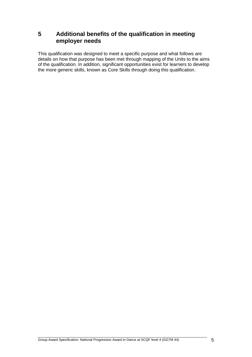## <span id="page-6-0"></span>**5 Additional benefits of the qualification in meeting employer needs**

This qualification was designed to meet a specific purpose and what follows are details on how that purpose has been met through mapping of the Units to the aims of the qualification. In addition, significant opportunities exist for learners to develop the more generic skills, known as Core Skills through doing this qualification.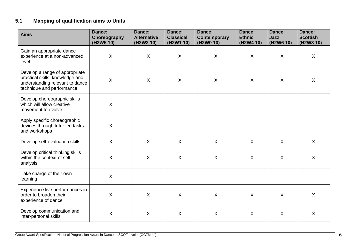## **5.1 Mapping of qualification aims to Units**

<span id="page-7-0"></span>

| <b>Aims</b>                                                                                                                       | Dance:<br>Choreography<br>(H2W5 10) | Dance:<br><b>Alternative</b><br>(H2W2 10) | Dance:<br><b>Classical</b><br>(H2W1 10) | Dance:<br>Contemporary<br>(H2W0 10) | Dance:<br><b>Ethnic</b><br>(H2W4 10) | Dance:<br><b>Jazz</b><br>(H2W6 10) | Dance:<br><b>Scottish</b><br>(H2W3 10) |
|-----------------------------------------------------------------------------------------------------------------------------------|-------------------------------------|-------------------------------------------|-----------------------------------------|-------------------------------------|--------------------------------------|------------------------------------|----------------------------------------|
| Gain an appropriate dance<br>experience at a non-advanced<br>level                                                                | $\sf X$                             | $\pmb{\times}$                            | X                                       | $\boldsymbol{\mathsf{X}}$           | X                                    | $\sf X$                            | $\boldsymbol{\mathsf{X}}$              |
| Develop a range of appropriate<br>practical skills, knowledge and<br>understanding relevant to dance<br>technique and performance | X                                   | $\boldsymbol{\mathsf{X}}$                 | $\mathsf{X}$                            | $\boldsymbol{\mathsf{X}}$           | $\sf X$                              | $\sf X$                            | $\boldsymbol{\mathsf{X}}$              |
| Develop choreographic skills<br>which will allow creative<br>movement to evolve                                                   | X                                   |                                           |                                         |                                     |                                      |                                    |                                        |
| Apply specific choreographic<br>devices through tutor led tasks<br>and workshops                                                  | $\mathsf{X}$                        |                                           |                                         |                                     |                                      |                                    |                                        |
| Develop self-evaluation skills                                                                                                    | $\mathsf{X}$                        | $\sf X$                                   | $\sf X$                                 | $\sf X$                             | $\mathsf{X}$                         | $\sf X$                            | $\sf X$                                |
| Develop critical thinking skills<br>within the context of self-<br>analysis                                                       | $\sf X$                             | $\pmb{\times}$                            | X                                       | $\boldsymbol{\mathsf{X}}$           | $\boldsymbol{X}$                     | $\sf X$                            | $\boldsymbol{\mathsf{X}}$              |
| Take charge of their own<br>learning                                                                                              | $\mathsf{X}$                        |                                           |                                         |                                     |                                      |                                    |                                        |
| Experience live performances in<br>order to broaden their<br>experience of dance                                                  | X                                   | $\boldsymbol{\mathsf{X}}$                 | X                                       | $\boldsymbol{\mathsf{X}}$           | X                                    | $\sf X$                            | $\sf X$                                |
| Develop communication and<br>inter-personal skills                                                                                | X                                   | X                                         | X                                       | $\sf X$                             | $\sf X$                              | $\sf X$                            | $\boldsymbol{\mathsf{X}}$              |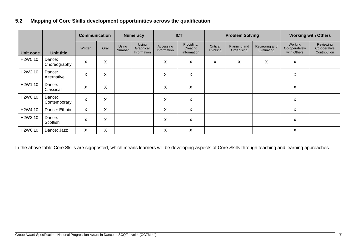## **5.2 Mapping of Core Skills development opportunities across the qualification**

|                                  |                        | <b>Communication</b> |      |                        | <b>Numeracy</b>                   |                          | <b>ICT</b>                            |                      | <b>Problem Solving</b>     |                             |                                          | <b>Working with Others</b>                |
|----------------------------------|------------------------|----------------------|------|------------------------|-----------------------------------|--------------------------|---------------------------------------|----------------------|----------------------------|-----------------------------|------------------------------------------|-------------------------------------------|
| Unit code                        | <b>Unit title</b>      | Written              | Oral | Using<br><b>Number</b> | Using<br>Graphical<br>Information | Accessing<br>Information | Providing/<br>Creating<br>information | Critical<br>Thinking | Planning and<br>Organising | Reviewing and<br>Evaluating | Working<br>Co-operatively<br>with Others | Reviewing<br>Co-operative<br>Contribution |
| H2W5 10                          | Dance:<br>Choreography | X                    | X    |                        |                                   | X                        | X                                     | X                    | X                          | X                           | X                                        |                                           |
| H <sub>2</sub> W <sub>2</sub> 10 | Dance:<br>Alternative  | X                    | X    |                        |                                   | X                        | X                                     |                      |                            |                             | X                                        |                                           |
| H <sub>2</sub> W <sub>1</sub> 10 | Dance:<br>Classical    | X                    | X    |                        |                                   | X                        | X                                     |                      |                            |                             | X                                        |                                           |
| H <sub>2</sub> W <sub>0</sub> 10 | Dance:<br>Contemporary | X                    | Χ    |                        |                                   | X                        | X                                     |                      |                            |                             | X                                        |                                           |
| H <sub>2</sub> W <sub>4</sub> 10 | Dance: Ethnic          | X                    | X    |                        |                                   | X                        | X                                     |                      |                            |                             | X                                        |                                           |
| H2W3 10                          | Dance:<br>Scottish     | X                    | X    |                        |                                   | X                        | X                                     |                      |                            |                             | X                                        |                                           |
| H <sub>2</sub> W <sub>6</sub> 10 | Dance: Jazz            | X                    | X    |                        |                                   | X                        | Χ                                     |                      |                            |                             | X                                        |                                           |

<span id="page-8-0"></span>In the above table Core Skills are signposted, which means learners will be developing aspects of Core Skills through teaching and learning approaches.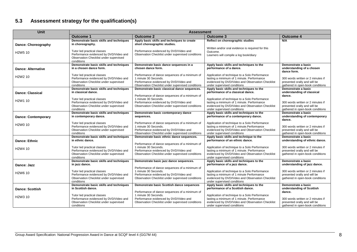## **5.3 Assessment strategy for the qualification(s)**

| Unit                             | <b>Assessment</b>                                                                                                             |                                                                                                                                                                       |                                                                                                                                                                                 |                                                                                                       |  |  |
|----------------------------------|-------------------------------------------------------------------------------------------------------------------------------|-----------------------------------------------------------------------------------------------------------------------------------------------------------------------|---------------------------------------------------------------------------------------------------------------------------------------------------------------------------------|-------------------------------------------------------------------------------------------------------|--|--|
|                                  | Outcome 1                                                                                                                     | <b>Outcome 2</b>                                                                                                                                                      | <b>Outcome 3</b>                                                                                                                                                                | <b>Outcome 4</b>                                                                                      |  |  |
| Dance: Choreography              | Demonstrate basic skills and techniques<br>in choreography.                                                                   | Apply basic skills and techniques to create<br>short choreographic studies.                                                                                           | Reflect on choreographic studies                                                                                                                                                | N/A                                                                                                   |  |  |
| H <sub>2</sub> W <sub>5</sub> 10 | Tutor led practical classes<br>Performance evidenced by DVD/Video and                                                         | Performance evidenced by DVD/Video and<br>Observation Checklist under supervised conditions                                                                           | Written and/or oral evidence is required for this<br>Outcome.<br>Learners will compile a log book/diary                                                                         |                                                                                                       |  |  |
|                                  | Observation Checklist under supervised<br>conditions                                                                          |                                                                                                                                                                       |                                                                                                                                                                                 |                                                                                                       |  |  |
| <b>Dance: Alternative</b>        | Demonstrate basic skills and techniques<br>in a chosen dance form.                                                            | Demonstrate basic dance sequences in a<br>chosen dance form.                                                                                                          | Apply basic skills and techniques to the<br>performance of a dance.                                                                                                             | Demonstrate a basic<br>understanding of a chosen<br>dance form.                                       |  |  |
| H <sub>2</sub> W <sub>2</sub> 10 | Tutor led practical classes<br>Performance evidenced by DVD/Video and<br>Observation Checklist under supervised<br>conditions | Performance of dance sequences of a minimum of<br>1 minute 30 Seconds.<br>Performance evidenced by DVD/Video and<br>Observation Checklist under supervised conditions | Application of technique to a Solo Performance<br>lasting a minimum of 1 minute. Performance<br>evidenced by DVD/Video and Observation Checklist<br>under supervised conditions | 300 words written or 2 minutes if<br>presented orally and will be<br>gathered in open-book conditions |  |  |
| <b>Dance: Classical</b>          | Demonstrate basic skills and techniques<br>in classical dance.                                                                | Demonstrate basic classical dance sequences.<br>Performance of dance sequences of a minimum of                                                                        | Apply basic skills and techniques to the<br>performance of a classical dance.                                                                                                   | Demonstrate a basic<br>understanding of classical<br>dance.                                           |  |  |
| H <sub>2</sub> W <sub>1</sub> 10 | Tutor led practical classes<br>Performance evidenced by DVD/Video and<br>Observation Checklist under supervised               | 1 minute 30 Seconds.<br>Performance evidenced by DVD/Video and<br>Observation Checklist under supervised conditions                                                   | Application of technique to a Solo Performance<br>lasting a minimum of 1 minute. Performance<br>evidenced by DVD/Video and Observation Checklist                                | 300 words written or 2 minutes if<br>presented orally and will be                                     |  |  |
|                                  | conditions                                                                                                                    |                                                                                                                                                                       | under supervised conditions                                                                                                                                                     | gathered in open-book conditions                                                                      |  |  |
| <b>Dance: Contemporary</b>       | Demonstrate basic skills and techniques<br>in contemporary dance.                                                             | Demonstrate basic contemporary dance<br>sequences.                                                                                                                    | Apply basic skills and techniques to the<br>performance of a contemporary dance.                                                                                                | Demonstrate a basic<br>understanding of contemporary<br>dance.                                        |  |  |
| H <sub>2</sub> W <sub>0</sub> 10 | Tutor led practical classes<br>Performance evidenced by DVD/Video and<br>Observation Checklist under supervised<br>conditions | Performance of dance sequences of a minimum of<br>1 minute 30 Seconds.<br>Performance evidenced by DVD/Video and<br>Observation Checklist under supervised conditions | Application of technique to a Solo Performance<br>lasting a minimum of 1 minute.Performance<br>evidenced by DVD/Video and Observation Checklist<br>under supervised conditions  | 300 words written or 2 minutes if<br>presented orally and will be<br>gathered in open-book conditions |  |  |
| <b>Dance: Ethnic</b>             | Demonstrate basic skills and techniques<br>in ethnic dance.                                                                   | Demonstrate basic ethnic dance sequences.<br>Performance of dance sequences of a minimum of                                                                           | Apply basic skills and technique to the<br>performance of an ethnic dance.                                                                                                      | Demonstrate a basic<br>understanding of ethnic dance.                                                 |  |  |
| H <sub>2</sub> W <sub>4</sub> 10 | Tutor led practical classes<br>Performance evidenced by DVD/Video and<br>Observation Checklist under supervised<br>conditions | 1 minute 30 Seconds.<br>Performance evidenced by DVD/Video and<br>Observation Checklist under supervised conditions                                                   | Application of technique to a Solo Performance<br>lasting a minimum of 1 minute. Performance<br>evidenced by DVD/Video and Observation Checklist<br>under supervised conditions | 300 words written or 2 minutes if<br>presented orally and will be<br>gathered in open-book conditions |  |  |
| Dance: Jazz                      | Demonstrate basic skills and techniques<br>in jazz dance.                                                                     | Demonstrate basic jazz dance sequences.<br>Performance of dance sequences of a minimum of                                                                             | Apply basic skills and techniques to the<br>performance of a jazz dance.                                                                                                        | Demonstrate a basic<br>understanding of jazz dance.                                                   |  |  |
| H <sub>2</sub> W <sub>6</sub> 10 | Tutor led practical classes<br>Performance evidenced by DVD/Video and<br>Observation Checklist under supervised<br>conditions | 1 minute 30 Seconds.<br>Performance evidenced by DVD/Video and<br>Observation Checklist under supervised conditions                                                   | Application of technique to a Solo Performance<br>lasting a minimum of 1 minute Performance<br>evidenced by DVD/Video and Observation Checklist<br>under supervised conditions  | 300 words written or 2 minutes if<br>presented orally and will be<br>gathered in open-book conditions |  |  |
|                                  | Demonstrate basic skills and techniques                                                                                       | Demonstrate basic Scottish dance sequences                                                                                                                            | Apply basic skills and techniques to the                                                                                                                                        | Demonstrate a basic                                                                                   |  |  |
| <b>Dance: Scottish</b>           | in Scottish dance.                                                                                                            | Performance of dance sequences of a minimum of<br>1 minute 30 Seconds.                                                                                                | performance of a Scottish dance.                                                                                                                                                | understanding of Scottish<br>dance.                                                                   |  |  |
| H <sub>2</sub> W <sub>3</sub> 10 | Tutor led practical classes<br>Performance evidenced by DVD/Video and<br>Observation Checklist under supervised<br>conditions | Performance evidenced by DVD/Video and<br>Observation Checklist under supervised conditions                                                                           | Application of technique to a Solo Performance<br>lasting a minimum of 1 minute. Performance<br>evidenced by DVD/Video and Observation Checklist<br>under supervised conditions | 300 words written or 2 minutes if<br>presented orally and will be<br>gathered in open-book conditions |  |  |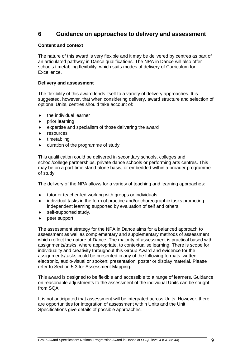## <span id="page-10-0"></span>**6 Guidance on approaches to delivery and assessment**

#### **Content and context**

The nature of this award is very flexible and it may be delivered by centres as part of an articulated pathway in Dance qualifications. The NPA in Dance will also offer schools timetabling flexibility, which suits modes of delivery of Curriculum for Excellence.

#### **Delivery and assessment**

The flexibility of this award lends itself to a variety of delivery approaches. It is suggested, however, that when considering delivery, award structure and selection of optional Units, centres should take account of:

- the individual learner
- prior learning
- expertise and specialism of those delivering the award
- resources
- timetabling
- duration of the programme of study

This qualification could be delivered in secondary schools, colleges and school/college partnerships, private dance schools or performing arts centres. This may be on a part-time stand-alone basis, or embedded within a broader programme of study.

The delivery of the NPA allows for a variety of teaching and learning approaches:

- tutor or teacher-led working with groups or individuals.
- individual tasks in the form of practice and/or choreographic tasks promoting independent learning supported by evaluation of self and others.
- self-supported study.
- peer support.

The assessment strategy for the NPA in Dance aims for a balanced approach to assessment as well as complementary and supplementary methods of assessment which reflect the nature of Dance. The majority of assessment is practical based with assignments/tasks, where appropriate, to contextualise learning. There is scope for individuality and creativity throughout this Group Award and evidence for the assignments/tasks could be presented in any of the following formats: written, electronic, audio-visual or spoken; presentation, poster or display material. Please refer to Section 5.3 for Assessment Mapping.

This award is designed to be flexible and accessible to a range of learners. Guidance on reasonable adjustments to the assessment of the individual Units can be sought from SQA.

It is not anticipated that assessment will be integrated across Units. However, there are opportunities for integration of assessment within Units and the Unit Specifications give details of possible approaches.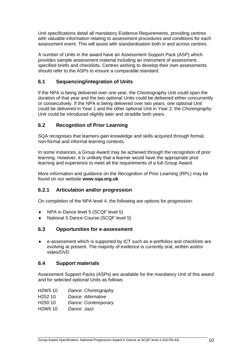Unit specifications detail all mandatory Evidence Requirements, providing centres with valuable information relating to assessment procedures and conditions for each assessment event. This will assist with standardisation both in and across centres.

A number of Units in the award have an Assessment Support Pack (ASP) which provides sample assessment material including an instrument of assessment, specified briefs and checklists. Centres wishing to develop their own assessments should refer to the ASPs to ensure a comparable standard.

#### <span id="page-11-0"></span>**6.1 Sequencing/integration of Units**

If the NPA is being delivered over one year, the Choreography Unit could span the duration of that year and the two optional Units could be delivered either concurrently or consecutively. If the NPA is being delivered over two years, one optional Unit could be delivered in Year 1 and the other optional Unit in Year 2; the *Choreography*  Unit could be introduced slightly later and straddle both years.

### <span id="page-11-1"></span>**6.2 Recognition of Prior Learning**

SQA recognises that learners gain knowledge and skills acquired through formal, non-formal and informal learning contexts.

In some instances, a Group Award may be achieved through the recognition of prior learning. However, it is unlikely that a learner would have the appropriate prior learning and experience to meet all the requirements of a full Group Award.

More information and guidance on the *Recognition of Prior Learning* (RPL) may be found on our website **[www.sqa.org.uk](http://www.sqa.org.uk/)**

#### <span id="page-11-2"></span>**6.2.1 Articulation and/or progression**

On completion of the NPA level 4, the following are options for progression:

- ◆ NPA in Dance level 5 (SCQF level 5)
- National 5 Dance Course (SCQF level 5)

#### <span id="page-11-3"></span>**6.3 Opportunities for e-assessment**

 e-assessment which is supported by ICT such as e-portfolios and checklists are evolving at present. The majority of evidence is currently oral, written and/or video/DVD

#### <span id="page-11-4"></span>**6.4 Support materials**

Assessment Support Packs (ASPs) are available for the mandatory Unit of this award and for selected optional Units as follows:

| H <sub>2</sub> W <sub>5</sub> 10 | Dance: Choreography |
|----------------------------------|---------------------|
|----------------------------------|---------------------|

| H252 10 | Dance: Alternative |
|---------|--------------------|
|---------|--------------------|

- H250 10 *Dance: Contemporary*
- H2W6 10 *Dance: Jazz*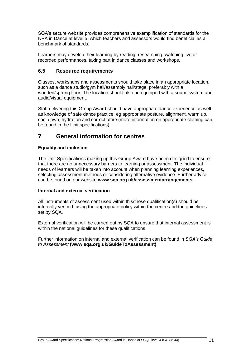SQA's secure website provides comprehensive exemplification of standards for the NPA in Dance at level 5, which teachers and assessors would find beneficial as a benchmark of standards.

Learners may develop their learning by reading, researching, watching live or recorded performances, taking part in dance classes and workshops.

#### <span id="page-12-0"></span>**6.5 Resource requirements**

Classes, workshops and assessments should take place in an appropriate location, such as a dance studio/gym hall/assembly hall/stage, preferably with a wooden/sprung floor. The location should also be equipped with a sound system and audio/visual equipment.

Staff delivering this Group Award should have appropriate dance experience as well as knowledge of safe dance practice, eg appropriate posture, alignment, warm up, cool down, hydration and correct attire (more information on appropriate clothing can be found in the Unit specifications).

## <span id="page-12-1"></span>**7 General information for centres**

#### **Equality and inclusion**

The Unit Specifications making up this Group Award have been designed to ensure that there are no unnecessary barriers to learning or assessment. The individual needs of learners will be taken into account when planning learning experiences, selecting assessment methods or considering alternative evidence. Further advice can be found on our website **[www.sqa.org.uk/assessmentarrangements](http://www.sqa.org.uk/sqa/14977.html)** .

#### **Internal and external verification**

All instruments of assessment used within this/these qualification(s) should be internally verified, using the appropriate policy within the centre and the guidelines set by SQA.

External verification will be carried out by SQA to ensure that internal assessment is within the national quidelines for these qualifications.

Further information on internal and external verification can be found in *SQA's Guide to Assessment* **[\(www.sqa.org.uk/GuideToAssessment\)](http://www.sqa.org.uk/sqa/files_ccc/GuideToAssessment.pdf)**.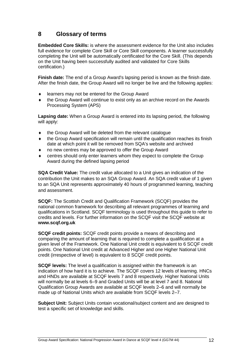## <span id="page-13-0"></span>**8 Glossary of terms**

**Embedded Core Skills:** is where the assessment evidence for the Unit also includes full evidence for complete Core Skill or Core Skill components. A learner successfully completing the Unit will be automatically certificated for the Core Skill. (This depends on the Unit having been successfully audited and validated for Core Skills certification.)

**Finish date:** The end of a Group Award's lapsing period is known as the finish date. After the finish date, the Group Award will no longer be live and the following applies:

- ◆ learners may not be entered for the Group Award
- the Group Award will continue to exist only as an archive record on the Awards Processing System (APS)

**Lapsing date:** When a Group Award is entered into its lapsing period, the following will apply:

- ◆ the Group Award will be deleted from the relevant catalogue
- the Group Award specification will remain until the qualification reaches its finish date at which point it will be removed from SQA's website and archived
- no new centres may be approved to offer the Group Award
- centres should only enter learners whom they expect to complete the Group Award during the defined lapsing period

**SQA Credit Value:** The credit value allocated to a Unit gives an indication of the contribution the Unit makes to an SQA Group Award. An SQA credit value of 1 given to an SQA Unit represents approximately 40 hours of programmed learning, teaching and assessment.

**SCQF:** The Scottish Credit and Qualification Framework (SCQF) provides the national common framework for describing all relevant programmes of learning and qualifications in Scotland. SCQF terminology is used throughout this guide to refer to credits and levels. For further information on the SCQF visit the SCQF website at **[www.scqf.org.uk](http://www.scqf.org.uk/)**

**SCQF credit points:** SCQF credit points provide a means of describing and comparing the amount of learning that is required to complete a qualification at a given level of the Framework. One National Unit credit is equivalent to 6 SCQF credit points. One National Unit credit at Advanced Higher and one Higher National Unit credit (irrespective of level) is equivalent to 8 SCQF credit points.

**SCQF levels:** The level a qualification is assigned within the framework is an indication of how hard it is to achieve. The SCQF covers 12 levels of learning. HNCs and HNDs are available at SCQF levels 7 and 8 respectively. Higher National Units will normally be at levels 6–9 and Graded Units will be at level 7 and 8. National Qualification Group Awards are available at SCQF levels 2–6 and will normally be made up of National Units which are available from SCQF levels 2–7.

**Subject Unit:** Subject Units contain vocational/subject content and are designed to test a specific set of knowledge and skills.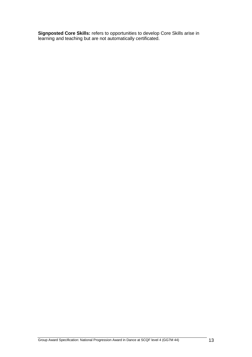**Signposted Core Skills:** refers to opportunities to develop Core Skills arise in learning and teaching but are not automatically certificated.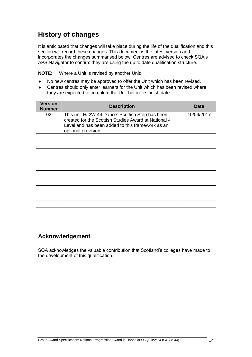# **History of changes**

It is anticipated that changes will take place during the life of the qualification and this section will record these changes. This document is the latest version and incorporates the changes summarised below. Centres are advised to check SQA's APS Navigator to confirm they are using the up to date qualification structure.

**NOTE:** Where a Unit is revised by another Unit:

- No new centres may be approved to offer the Unit which has been revised.
- Centres should only enter learners for the Unit which has been revised where they are expected to complete the Unit before its finish date.

| <b>Version</b><br><b>Number</b> | <b>Description</b>                                                                                                                                                                 | <b>Date</b> |
|---------------------------------|------------------------------------------------------------------------------------------------------------------------------------------------------------------------------------|-------------|
| 02                              | This unit HJ2W 44 Dance: Scottish Step has been<br>created for the Scottish Studies Award at National 4<br>Level and has been added to this framework as an<br>optional provision. | 10/04/2017  |
|                                 |                                                                                                                                                                                    |             |
|                                 |                                                                                                                                                                                    |             |
|                                 |                                                                                                                                                                                    |             |
|                                 |                                                                                                                                                                                    |             |
|                                 |                                                                                                                                                                                    |             |
|                                 |                                                                                                                                                                                    |             |
|                                 |                                                                                                                                                                                    |             |
|                                 |                                                                                                                                                                                    |             |

## **Acknowledgement**

SQA acknowledges the valuable contribution that Scotland's colleges have made to the development of this qualification.